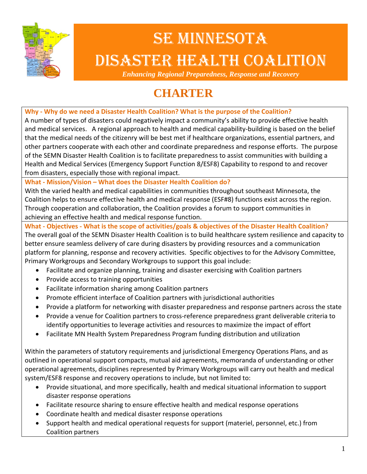

# SE MINNESOTA DISASTER HEALTH COALITION

*Enhancing Regional Preparedness, Response and Recovery* 

# **CHARTER**

**Why ‐ Why do we need a Disaster Health Coalition? What is the purpose of the Coalition?**

A number of types of disasters could negatively impact a community's ability to provide effective health and medical services. A regional approach to health and medical capability-building is based on the belief that the medical needs of the citizenry will be best met if healthcare organizations, essential partners, and other partners cooperate with each other and coordinate preparedness and response efforts. The purpose of the SEMN Disaster Health Coalition is to facilitate preparedness to assist communities with building a Health and Medical Services (Emergency Support Function 8/ESF8) Capability to respond to and recover from disasters, especially those with regional impact.

#### **What ‐ Mission/Vision – What does the Disaster Health Coalition do?**

With the varied health and medical capabilities in communities throughout southeast Minnesota, the Coalition helps to ensure effective health and medical response (ESF#8) functions exist across the region. Through cooperation and collaboration, the Coalition provides a forum to support communities in achieving an effective health and medical response function.

**What ‐ Objectives ‐ What is the scope of activities/goals & objectives of the Disaster Health Coalition?**

The overall goal of the SEMN Disaster Health Coalition is to build healthcare system resilience and capacity to better ensure seamless delivery of care during disasters by providing resources and a communication platform for planning, response and recovery activities. Specific objectives to for the Advisory Committee, Primary Workgroups and Secondary Workgroups to support this goal include:

- Facilitate and organize planning, training and disaster exercising with Coalition partners
- Provide access to training opportunities
- Facilitate information sharing among Coalition partners
- Promote efficient interface of Coalition partners with jurisdictional authorities
- Provide a platform for networking with disaster preparedness and response partners across the state
- Provide a venue for Coalition partners to cross-reference preparedness grant deliverable criteria to identify opportunities to leverage activities and resources to maximize the impact of effort
- Facilitate MN Health System Preparedness Program funding distribution and utilization

Within the parameters of statutory requirements and jurisdictional Emergency Operations Plans, and as outlined in operational support compacts, mutual aid agreements, memoranda of understanding or other operational agreements, disciplines represented by Primary Workgroups will carry out health and medical system/ESF8 response and recovery operations to include, but not limited to:

- Provide situational, and more specifically, health and medical situational information to support disaster response operations
- Facilitate resource sharing to ensure effective health and medical response operations
- Coordinate health and medical disaster response operations
- Support health and medical operational requests for support (materiel, personnel, etc.) from Coalition partners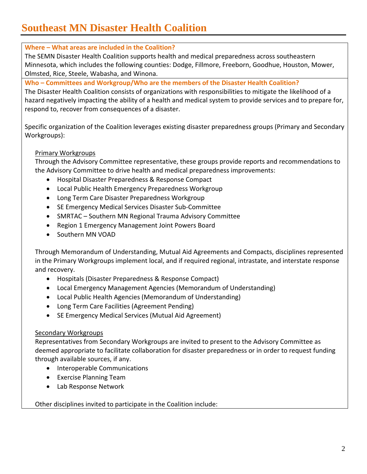# **Southeast MN Disaster Health Coalition**

#### **Where – What areas are included in the Coalition?**

The SEMN Disaster Health Coalition supports health and medical preparedness across southeastern Minnesota, which includes the following counties: Dodge, Fillmore, Freeborn, Goodhue, Houston, Mower, Olmsted, Rice, Steele, Wabasha, and Winona.

**Who – Committees and Workgroup/Who are the members of the Disaster Health Coalition?**

The Disaster Health Coalition consists of organizations with responsibilities to mitigate the likelihood of a hazard negatively impacting the ability of a health and medical system to provide services and to prepare for, respond to, recover from consequences of a disaster.

Specific organization of the Coalition leverages existing disaster preparedness groups (Primary and Secondary Workgroups):

#### Primary Workgroups

Through the Advisory Committee representative, these groups provide reports and recommendations to the Advisory Committee to drive health and medical preparedness improvements:

- Hospital Disaster Preparedness & Response Compact
- Local Public Health Emergency Preparedness Workgroup
- Long Term Care Disaster Preparedness Workgroup
- SE Emergency Medical Services Disaster Sub-Committee
- SMRTAC Southern MN Regional Trauma Advisory Committee
- Region 1 Emergency Management Joint Powers Board
- Southern MN VOAD

Through Memorandum of Understanding, Mutual Aid Agreements and Compacts, disciplines represented in the Primary Workgroups implement local, and if required regional, intrastate, and interstate response and recovery.

- Hospitals (Disaster Preparedness & Response Compact)
- Local Emergency Management Agencies (Memorandum of Understanding)
- Local Public Health Agencies (Memorandum of Understanding)
- Long Term Care Facilities (Agreement Pending)
- SE Emergency Medical Services (Mutual Aid Agreement)

#### Secondary Workgroups

Representatives from Secondary Workgroups are invited to present to the Advisory Committee as deemed appropriate to facilitate collaboration for disaster preparedness or in order to request funding through available sources, if any.

- Interoperable Communications
- Exercise Planning Team
- Lab Response Network

Other disciplines invited to participate in the Coalition include: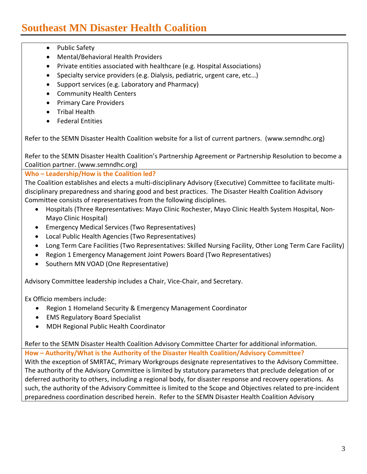- Public Safety
- Mental/Behavioral Health Providers
- Private entities associated with healthcare (e.g. Hospital Associations)
- Specialty service providers (e.g. Dialysis, pediatric, urgent care, etc…)
- Support services (e.g. Laboratory and Pharmacy)
- Community Health Centers
- Primary Care Providers
- Tribal Health
- **•** Federal Entities

Refer to the SEMN Disaster Health Coalition website for a list of current partners. (www.semndhc.org)

Refer to the SEMN Disaster Health Coalition's Partnership Agreement or Partnership Resolution to become a Coalition partner. (www.semndhc.org)

#### **Who – Leadership/How is the Coalition led?**

The Coalition establishes and elects a multi‐disciplinary Advisory (Executive) Committee to facilitate multi‐ disciplinary preparedness and sharing good and best practices. The Disaster Health Coalition Advisory Committee consists of representatives from the following disciplines.

- Hospitals (Three Representatives: Mayo Clinic Rochester, Mayo Clinic Health System Hospital, Non-Mayo Clinic Hospital)
- Emergency Medical Services (Two Representatives)
- Local Public Health Agencies (Two Representatives)
- Long Term Care Facilities (Two Representatives: Skilled Nursing Facility, Other Long Term Care Facility)
- Region 1 Emergency Management Joint Powers Board (Two Representatives)
- Southern MN VOAD (One Representative)

Advisory Committee leadership includes a Chair, Vice‐Chair, and Secretary.

Ex Officio members include:

- Region 1 Homeland Security & Emergency Management Coordinator
- EMS Regulatory Board Specialist
- MDH Regional Public Health Coordinator

Refer to the SEMN Disaster Health Coalition Advisory Committee Charter for additional information.

**How – Authority/What is the Authority of the Disaster Health Coalition/Advisory Committee?** With the exception of SMRTAC, Primary Workgroups designate representatives to the Advisory Committee. The authority of the Advisory Committee is limited by statutory parameters that preclude delegation of or deferred authority to others, including a regional body, for disaster response and recovery operations. As such, the authority of the Advisory Committee is limited to the Scope and Objectives related to pre‐incident preparedness coordination described herein. Refer to the SEMN Disaster Health Coalition Advisory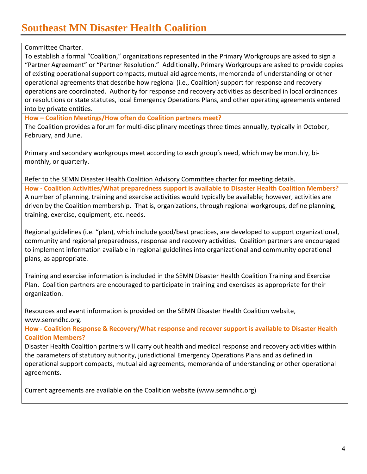## **Southeast MN Disaster Health Coalition**

Committee Charter.

To establish a formal "Coalition," organizations represented in the Primary Workgroups are asked to sign a "Partner Agreement" or "Partner Resolution." Additionally, Primary Workgroups are asked to provide copies of existing operational support compacts, mutual aid agreements, memoranda of understanding or other operational agreements that describe how regional (i.e., Coalition) support for response and recovery operations are coordinated. Authority for response and recovery activities as described in local ordinances or resolutions or state statutes, local Emergency Operations Plans, and other operating agreements entered into by private entities.

**How – Coalition Meetings/How often do Coalition partners meet?**

The Coalition provides a forum for multi-disciplinary meetings three times annually, typically in October, February, and June.

Primary and secondary workgroups meet according to each group's need, which may be monthly, bi‐ monthly, or quarterly.

Refer to the SEMN Disaster Health Coalition Advisory Committee charter for meeting details.

**How ‐ Coalition Activities/What preparedness support is available to Disaster Health Coalition Members?** A number of planning, training and exercise activities would typically be available; however, activities are driven by the Coalition membership. That is, organizations, through regional workgroups, define planning, training, exercise, equipment, etc. needs.

Regional guidelines (i.e. "plan), which include good/best practices, are developed to support organizational, community and regional preparedness, response and recovery activities. Coalition partners are encouraged to implement information available in regional guidelines into organizational and community operational plans, as appropriate.

Training and exercise information is included in the SEMN Disaster Health Coalition Training and Exercise Plan. Coalition partners are encouraged to participate in training and exercises as appropriate for their organization.

Resources and event information is provided on the SEMN Disaster Health Coalition website, www.semndhc.org.

**How ‐ Coalition Response & Recovery/What response and recover support is available to Disaster Health Coalition Members?**

Disaster Health Coalition partners will carry out health and medical response and recovery activities within the parameters of statutory authority, jurisdictional Emergency Operations Plans and as defined in operational support compacts, mutual aid agreements, memoranda of understanding or other operational agreements.

Current agreements are available on the Coalition website (www.semndhc.org)